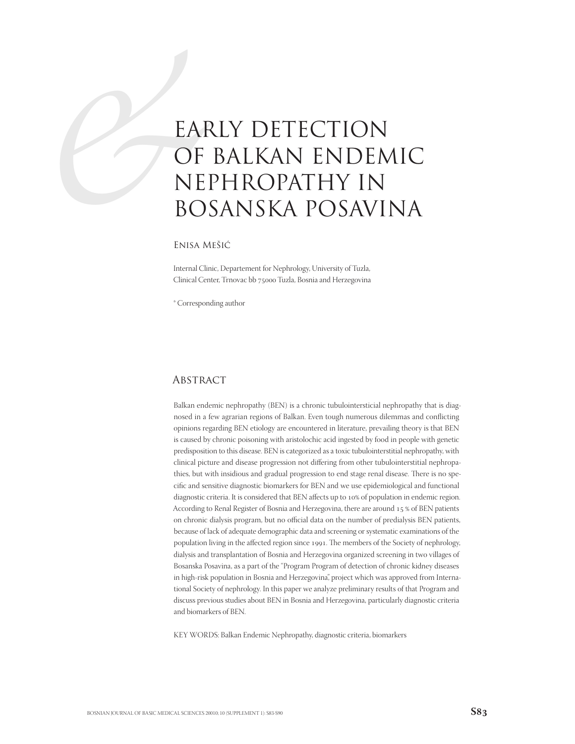# EAF OF NE BO EARLY DETECTION OF BALKAN ENDEMIC NEPHROPATHY IN BOSANSKA POSAVINA

## Enisa Mešić

Internal Clinic, Departement for Nephrology, University of Tuzla, Clinical Center, Trnovac bb 75000 Tuzla, Bosnia and Herzegovina

\* Corresponding author

## **ABSTRACT**

Balkan endemic nephropathy (BEN) is a chronic tubulointersticial nephropathy that is diagnosed in a few agrarian regions of Balkan. Even tough numerous dilemmas and conflicting opinions regarding BEN etiology are encountered in literature, prevailing theory is that BEN is caused by chronic poisoning with aristolochic acid ingested by food in people with genetic predisposition to this disease. BEN is categorized as a toxic tubulointerstitial nephropathy, with clinical picture and disease progression not differing from other tubulointerstitial nephropathies, but with insidious and gradual progression to end stage renal disease. There is no specific and sensitive diagnostic biomarkers for BEN and we use epidemiological and functional diagnostic criteria. It is considered that BEN affects up to 10% of population in endemic region. According to Renal Register of Bosnia and Herzegovina, there are around 15 % of BEN patients on chronic dialysis program, but no official data on the number of predialysis BEN patients, because of lack of adequate demographic data and screening or systematic examinations of the population living in the affected region since 1991. The members of the Society of nephrology, dialysis and transplantation of Bosnia and Herzegovina organized screening in two villages of Bosanska Posavina, as a part of the "Program Program of detection of chronic kidney diseases in high-risk population in Bosnia and Herzegovina", project which was approved from International Society of nephrology. In this paper we analyze preliminary results of that Program and discuss previous studies about BEN in Bosnia and Herzegovina, particularly diagnostic criteria and biomarkers of BEN.

KEY WORDS: Balkan Endemic Nephropathy, diagnostic criteria, biomarkers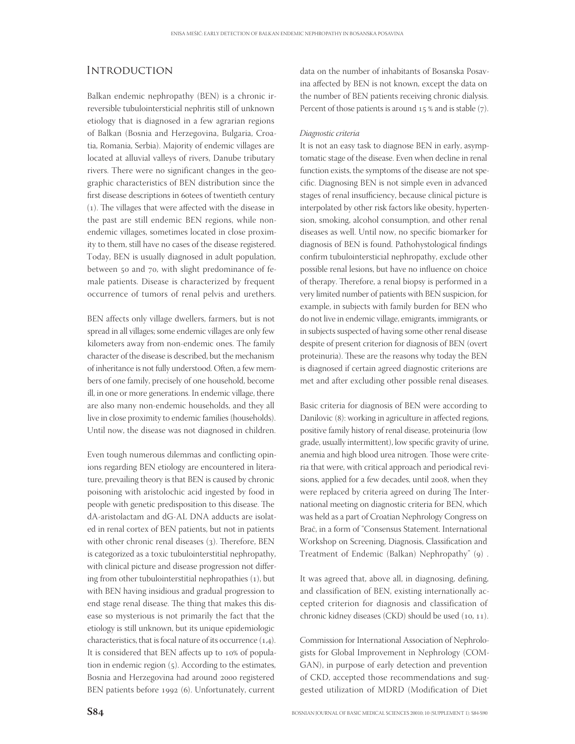# **INTRODUCTION**

Balkan endemic nephropathy (BEN) is a chronic irreversible tubulointersticial nephritis still of unknown etiology that is diagnosed in a few agrarian regions of Balkan (Bosnia and Herzegovina, Bulgaria, Croatia, Romania, Serbia). Majority of endemic villages are located at alluvial valleys of rivers, Danube tributary rivers. There were no significant changes in the geographic characteristics of BEN distribution since the first disease descriptions in 6otees of twentieth century  $(1)$ . The villages that were affected with the disease in the past are still endemic BEN regions, while nonendemic villages, sometimes located in close proximity to them, still have no cases of the disease registered. Today, BEN is usually diagnosed in adult population, between 50 and 70, with slight predominance of female patients. Disease is characterized by frequent occurrence of tumors of renal pelvis and urethers.

BEN affects only village dwellers, farmers, but is not spread in all villages; some endemic villages are only few kilometers away from non-endemic ones. The family character of the disease is described, but the mechanism of inheritance is not fully understood. Often, a few members of one family, precisely of one household, become ill, in one or more generations. In endemic village, there are also many non-endemic households, and they all live in close proximity to endemic families (households). Until now, the disease was not diagnosed in children.

Even tough numerous dilemmas and conflicting opinions regarding BEN etiology are encountered in literature, prevailing theory is that BEN is caused by chronic poisoning with aristolochic acid ingested by food in people with genetic predisposition to this disease. The dA-aristolactam and dG-AL DNA adducts are isolated in renal cortex of BEN patients, but not in patients with other chronic renal diseases (3). Therefore, BEN is categorized as a toxic tubulointerstitial nephropathy, with clinical picture and disease progression not differing from other tubulointerstitial nephropathies  $(1)$ , but with BEN having insidious and gradual progression to end stage renal disease. The thing that makes this disease so mysterious is not primarily the fact that the etiology is still unknown, but its unique epidemiologic characteristics, that is focal nature of its occurrence  $(1,4)$ . It is considered that BEN affects up to 10% of population in endemic region  $(5)$ . According to the estimates, Bosnia and Herzegovina had around 2000 registered BEN patients before 1992 (6). Unfortunately, current

data on the number of inhabitants of Bosanska Posavina affected by BEN is not known, except the data on the number of BEN patients receiving chronic dialysis. Percent of those patients is around  $15%$  and is stable (7).

#### Diagnostic criteria

It is not an easy task to diagnose BEN in early, asymptomatic stage of the disease. Even when decline in renal function exists, the symptoms of the disease are not specific. Diagnosing BEN is not simple even in advanced stages of renal insufficiency, because clinical picture is interpolated by other risk factors like obesity, hypertension, smoking, alcohol consumption, and other renal diseases as well. Until now, no specific biomarker for diagnosis of BEN is found. Pathohystological findings confirm tubulointersticial nephropathy, exclude other possible renal lesions, but have no influence on choice of therapy. Therefore, a renal biopsy is performed in a very limited number of patients with BEN suspicion, for example, in subjects with family burden for BEN who do not live in endemic village, emigrants, immigrants, or in subjects suspected of having some other renal disease despite of present criterion for diagnosis of BEN (overt proteinuria). These are the reasons why today the BEN is diagnosed if certain agreed diagnostic criterions are met and after excluding other possible renal diseases.

Basic criteria for diagnosis of BEN were according to Danilovic (8): working in agriculture in affected regions, positive family history of renal disease, proteinuria (low grade, usually intermittent), low specific gravity of urine, anemia and high blood urea nitrogen. Those were criteria that were, with critical approach and periodical revisions, applied for a few decades, until 2008, when they were replaced by criteria agreed on during The International meeting on diagnostic criteria for BEN, which was held as a part of Croatian Nephrology Congress on Brač, in a form of "Consensus Statement. International Workshop on Screening, Diagnosis, Classification and Treatment of Endemic (Balkan) Nephropathy" (9).

It was agreed that, above all, in diagnosing, defining, and classification of BEN, existing internationally accepted criterion for diagnosis and classification of chronic kidney diseases (CKD) should be used  $(10, 11)$ .

Commission for International Association of Nephrologists for Global Improvement in Nephrology (COM-GAN), in purpose of early detection and prevention of CKD, accepted those recommendations and suggested utilization of MDRD (Modification of Diet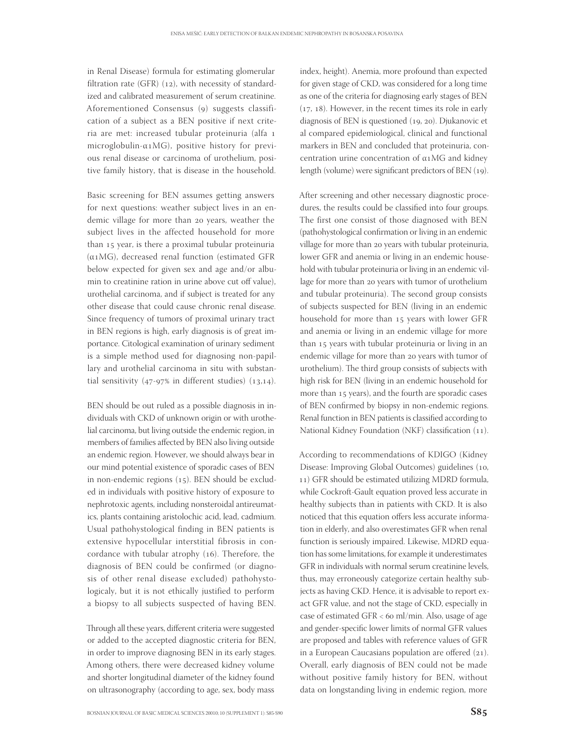in Renal Disease) formula for estimating glomerular filtration rate (GFR)  $(12)$ , with necessity of standardized and calibrated measurement of serum creatinine. Aforementioned Consensus (9) suggests classification of a subject as a BEN positive if next criteria are met: increased tubular proteinuria (alfa microglobulin- $\alpha$ 1MG), positive history for previous renal disease or carcinoma of urothelium, positive family history, that is disease in the household.

Basic screening for BEN assumes getting answers for next questions: weather subject lives in an endemic village for more than 20 years, weather the subject lives in the affected household for more than 15 year, is there a proximal tubular proteinuria  $(\alpha_1 MG)$ , decreased renal function (estimated GFR below expected for given sex and age and/or albumin to creatinine ration in urine above cut off value), urothelial carcinoma, and if subject is treated for any other disease that could cause chronic renal disease. Since frequency of tumors of proximal urinary tract in BEN regions is high, early diagnosis is of great importance. Citological examination of urinary sediment is a simple method used for diagnosing non-papillary and urothelial carcinoma in situ with substantial sensitivity  $(47-97\%)$  in different studies)  $(13,14)$ .

BEN should be out ruled as a possible diagnosis in individuals with CKD of unknown origin or with urothelial carcinoma, but living outside the endemic region, in members of families affected by BEN also living outside an endemic region. However, we should always bear in our mind potential existence of sporadic cases of BEN in non-endemic regions  $(15)$ . BEN should be excluded in individuals with positive history of exposure to nephrotoxic agents, including nonsteroidal antireumatics, plants containing aristolochic acid, lead, cadmium. Usual pathohystological finding in BEN patients is extensive hypocellular interstitial fibrosis in concordance with tubular atrophy  $(16)$ . Therefore, the diagnosis of BEN could be confirmed (or diagnosis of other renal disease excluded) pathohystologicaly, but it is not ethically justified to perform a biopsy to all subjects suspected of having BEN.

Through all these years, different criteria were suggested or added to the accepted diagnostic criteria for BEN, in order to improve diagnosing BEN in its early stages. Among others, there were decreased kidney volume and shorter longitudinal diameter of the kidney found on ultrasonography (according to age, sex, body mass

index, height). Anemia, more profound than expected for given stage of CKD, was considered for a long time as one of the criteria for diagnosing early stages of BEN  $(17, 18)$ . However, in the recent times its role in early diagnosis of BEN is questioned  $(19, 20)$ . Djukanovic et al compared epidemiological, clinical and functional markers in BEN and concluded that proteinuria, concentration urine concentration of  $\alpha$ 1MG and kidney length (volume) were significant predictors of BEN (19).

After screening and other necessary diagnostic procedures, the results could be classified into four groups. The first one consist of those diagnosed with BEN (pathohystological confirmation or living in an endemic village for more than 20 years with tubular proteinuria, lower GFR and anemia or living in an endemic household with tubular proteinuria or living in an endemic village for more than 20 years with tumor of urothelium and tubular proteinuria). The second group consists of subjects suspected for BEN (living in an endemic household for more than 15 years with lower GFR and anemia or living in an endemic village for more than 15 years with tubular proteinuria or living in an endemic village for more than 20 years with tumor of urothelium). The third group consists of subjects with high risk for BEN (living in an endemic household for more than 15 years), and the fourth are sporadic cases of BEN confirmed by biopsy in non-endemic regions. Renal function in BEN patients is classified according to National Kidney Foundation (NKF) classification (11).

According to recommendations of KDIGO (Kidney Disease: Improving Global Outcomes) guidelines (10, ) GFR should be estimated utilizing MDRD formula, while Cockroft-Gault equation proved less accurate in healthy subjects than in patients with CKD. It is also noticed that this equation offers less accurate information in elderly, and also overestimates GFR when renal function is seriously impaired. Likewise, MDRD equation has some limitations, for example it underestimates GFR in individuals with normal serum creatinine levels, thus, may erroneously categorize certain healthy subjects as having CKD. Hence, it is advisable to report exact GFR value, and not the stage of CKD, especially in case of estimated GFR <  $60$  ml/min. Also, usage of age and gender-specific lower limits of normal GFR values are proposed and tables with reference values of GFR in a European Caucasians population are offered  $(21)$ . Overall, early diagnosis of BEN could not be made without positive family history for BEN, without data on longstanding living in endemic region, more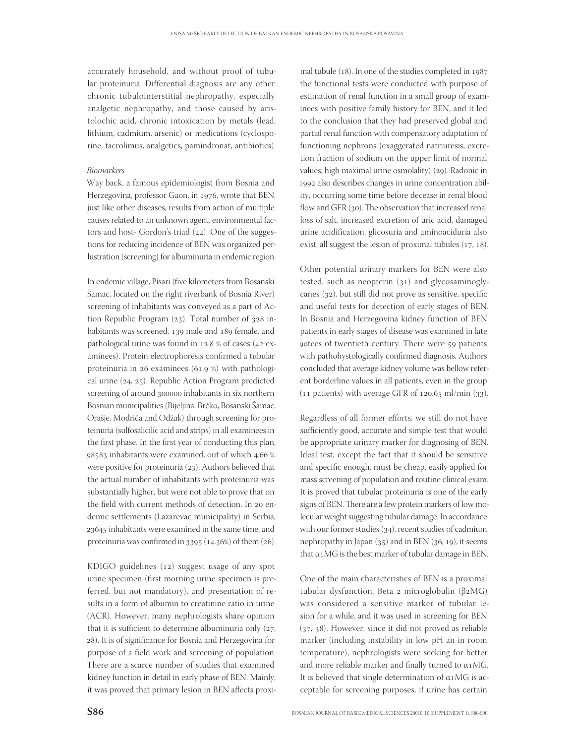accurately household, and without proof of tubular proteinuria. Differential diagnosis are any other chronic tubulointerstitial nephropathy, especially analgetic nephropathy, and those caused by aristolochic acid, chronic intoxication by metals (lead, lithium, cadmium, arsenic) or medications (cyclosporine, tacrolimus, analgetics, pamindronat, antibiotics).

#### Biomarkers

Way back, a famous epidemiologist from Bosnia and Herzegovina, professor Gaon, in 1976, wrote that BEN, just like other diseases, results from action of multiple causes related to an unknown agent, environmental factors and host- Gordon's triad (22). One of the suggestions for reducing incidence of BEN was organized perlustration (screening) for albuminuria in endemic region.

In endemic village, Pisari (five kilometers from Bosanski Šamac, located on the right riverbank of Bosnia River) screening of inhabitants was conveyed as a part of Action Republic Program  $(23)$ . Total number of  $328$  inhabitants was screened, 139 male and 189 female, and pathological urine was found in  $12.8 %$  of cases (42 examinees). Protein electrophoresis confirmed a tubular proteinuria in  $26$  examinees (61.9 %) with pathological urine  $(24, 25)$ . Republic Action Program predicted screening of around 300000 inhabitants in six northern Bosnian municipalities (Bijeljina, Brčko, Bosanski Šamac, Orašje, Modriča and Odžak) through screening for proteinuria (sulfosalicilic acid and strips) in all examinees in the first phase. In the first year of conducting this plan, 98583 inhabitants were examined, out of which 4.66 % were positive for proteinuria (23). Authors believed that the actual number of inhabitants with proteinuria was substantially higher, but were not able to prove that on the field with current methods of detection. In 20 endemic settlements (Lazarevac municipality) in Serbia, 23645 inhabitants were examined in the same time, and proteinuria was confirmed in  $3395$  (14.36%) of them (26).

KDIGO guidelines  $(12)$  suggest usage of any spot urine specimen (first morning urine specimen is preferred, but not mandatory), and presentation of results in a form of albumin to creatinine ratio in urine (ACR). However, many nephrologists share opinion that it is sufficient to determine albuminuria only  $(27, 12)$ 28). It is of significance for Bosnia and Herzegovina for purpose of a field work and screening of population. There are a scarce number of studies that examined kidney function in detail in early phase of BEN. Mainly, it was proved that primary lesion in BEN affects proxi-

mal tubule  $(18)$ . In one of the studies completed in  $1987$ the functional tests were conducted with purpose of estimation of renal function in a small group of examinees with positive family history for BEN, and it led to the conclusion that they had preserved global and partial renal function with compensatory adaptation of functioning nephrons (exaggerated natriuresis, excretion fraction of sodium on the upper limit of normal values, high maximal urine osmolality) (29). Radonic in 1992 also describes changes in urine concentration ability, occurring some time before decease in renal blood flow and GFR  $(30)$ . The observation that increased renal loss of salt, increased excretion of uric acid, damaged urine acidification, glicosuria and aminoaciduria also exist, all suggest the lesion of proximal tubules  $(17, 18)$ .

Other potential urinary markers for BEN were also tested, such as neopterin  $(31)$  and glycosaminoglycanes  $(32)$ , but still did not prove as sensitive, specific and useful tests for detection of early stages of BEN. In Bosnia and Herzegovina kidney function of BEN patients in early stages of disease was examined in late gotees of twentieth century. There were 59 patients with pathohystologically confirmed diagnosis. Authors concluded that average kidney volume was bellow referent borderline values in all patients, even in the group  $(11$  patients) with average GFR of  $120.65$  ml/min  $(33)$ .

Regardless of all former efforts, we still do not have sufficiently good, accurate and simple test that would be appropriate urinary marker for diagnosing of BEN. Ideal test, except the fact that it should be sensitive and specific enough, must be cheap, easily applied for mass screening of population and routine clinical exam. It is proved that tubular proteinuria is one of the early signs of BEN. There are a few protein markers of low molecular weight suggesting tubular damage. In accordance with our former studies  $(34)$ , recent studies of cadmium nephropathy in Japan  $(35)$  and in BEN  $(36, 19)$ , it seems that  $\alpha$ 1 MG is the best marker of tubular damage in BEN.

One of the main characteristics of BEN is a proximal tubular dysfunction. Beta 2 microglobulin (β2MG) was considered a sensitive marker of tubular lesion for a while, and it was used in screening for BEN  $(37, 38)$ . However, since it did not proved as reliable marker (including instability in low pH an in room temperature), nephrologists were seeking for better and more reliable marker and finally turned to  $\alpha$ 1MG. It is believed that single determination of  $\alpha$ 1MG is acceptable for screening purposes, if urine has certain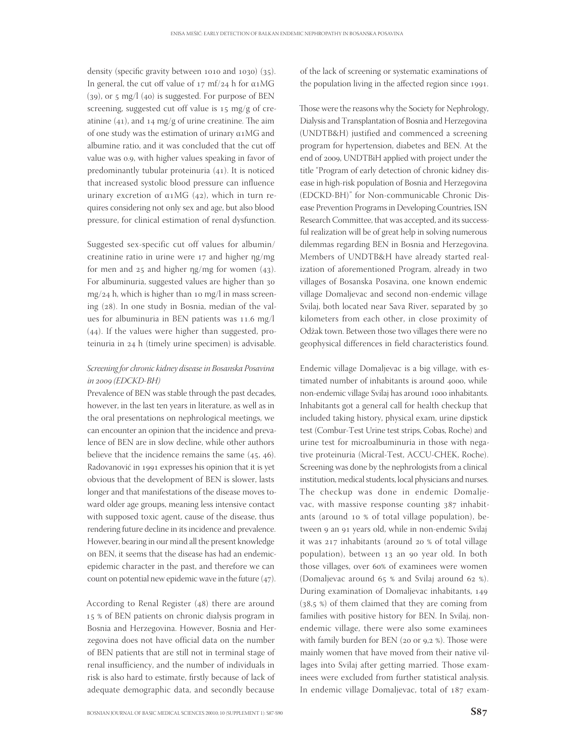density (specific gravity between  $1010$  and  $1030$ ) ( $35$ ). In general, the cut off value of  $17 \text{ m}f/24$  h for  $\alpha$ 1MG  $(39)$ , or 5 mg/l  $(40)$  is suggested. For purpose of BEN screening, suggested cut off value is 15 mg/g of creatinine  $(41)$ , and  $14 \text{ mg/g}$  of urine creatinine. The aim of one study was the estimation of urinary  $\alpha$ 1MG and albumine ratio, and it was concluded that the cut off value was 0.9, with higher values speaking in favor of predominantly tubular proteinuria  $(41)$ . It is noticed that increased systolic blood pressure can influence urinary excretion of  $α₁MG$  (42), which in turn requires considering not only sex and age, but also blood pressure, for clinical estimation of renal dysfunction.

Suggested sex-specific cut off values for albumin/ creatinine ratio in urine were  $17$  and higher  $\eta g/mg$ for men and  $25$  and higher  $\frac{mg}{mg}$  for women (43). For albuminuria, suggested values are higher than  $mg/24$  h, which is higher than 10 mg/l in mass screening (28). In one study in Bosnia, median of the values for albuminuria in BEN patients was  $11.6$  mg/l  $(44)$ . If the values were higher than suggested, proteinuria in  $24$  h (timely urine specimen) is advisable.

## Screening for chronic kidney disease in Bosanska Posavina  $in$   $2009$  (EDCKD-BH)

Prevalence of BEN was stable through the past decades, however, in the last ten years in literature, as well as in the oral presentations on nephrological meetings, we can encounter an opinion that the incidence and prevalence of BEN are in slow decline, while other authors believe that the incidence remains the same  $(45, 46)$ . Radovanović in 1991 expresses his opinion that it is yet obvious that the development of BEN is slower, lasts longer and that manifestations of the disease moves toward older age groups, meaning less intensive contact with supposed toxic agent, cause of the disease, thus rendering future decline in its incidence and prevalence. However, bearing in our mind all the present knowledge on BEN, it seems that the disease has had an endemicepidemic character in the past, and therefore we can count on potential new epidemic wave in the future  $(47)$ .

According to Renal Register  $(48)$  there are around 15 % of BEN patients on chronic dialysis program in Bosnia and Herzegovina. However, Bosnia and Herzegovina does not have official data on the number of BEN patients that are still not in terminal stage of renal insufficiency, and the number of individuals in risk is also hard to estimate, firstly because of lack of adequate demographic data, and secondly because

of the lack of screening or systematic examinations of the population living in the affected region since 1991.

Those were the reasons why the Society for Nephrology, Dialysis and Transplantation of Bosnia and Herzegovina (UNDTB&H) justified and commenced a screening program for hypertension, diabetes and BEN. At the end of 2009, UNDTBiH applied with project under the title "Program of early detection of chronic kidney disease in high-risk population of Bosnia and Herzegovina (EDCKD-BH)" for Non-communicable Chronic Disease Prevention Programs in Developing Countries, ISN Research Committee, that was accepted, and its successful realization will be of great help in solving numerous dilemmas regarding BEN in Bosnia and Herzegovina. Members of UNDTB&H have already started realization of aforementioned Program, already in two villages of Bosanska Posavina, one known endemic village Domaljevac and second non-endemic village Svilaj, both located near Sava River, separated by kilometers from each other, in close proximity of Odžak town. Between those two villages there were no geophysical differences in field characteristics found.

Endemic village Domaljevac is a big village, with estimated number of inhabitants is around 4000, while non-endemic village Svilaj has around 1000 inhabitants. Inhabitants got a general call for health checkup that included taking history, physical exam, urine dipstick test (Combur-Test Urine test strips, Cobas, Roche) and urine test for microalbuminuria in those with negative proteinuria (Micral-Test, ACCU-CHEK, Roche). Screening was done by the nephrologists from a clinical institution, medical students, local physicians and nurses. The checkup was done in endemic Domaljevac, with massive response counting 387 inhabitants (around 10 % of total village population), between 9 an 91 years old, while in non-endemic Svilaj it was 217 inhabitants (around 20 % of total village population), between 13 an 90 year old. In both those villages, over 60% of examinees were women (Domaljevac around  $65%$  and Svilaj around  $62%$ ). During examination of Domaljevac inhabitants,  $(38.5 %)$  of them claimed that they are coming from families with positive history for BEN. In Svilaj, nonendemic village, there were also some examinees with family burden for BEN ( $20$  or  $9,2$  %). Those were mainly women that have moved from their native villages into Svilaj after getting married. Those examinees were excluded from further statistical analysis. In endemic village Domaljevac, total of 187 exam-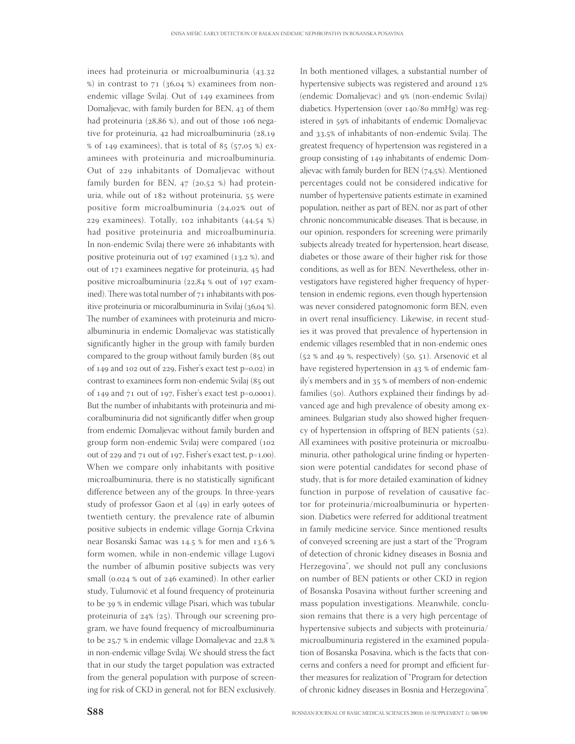inees had proteinuria or microalbuminuria (43.32  $\%$ ) in contrast to 71 (36,04 %) examinees from nonendemic village Svilaj. Out of 149 examinees from Domaljevac, with family burden for BEN, 43 of them had proteinuria  $(28, 86, %)$ , and out of those 106 negative for proteinuria,  $42$  had microalbuminuria  $(28.19)$ % of 149 examinees), that is total of  $85$  ( $57.05$  %) examinees with proteinuria and microalbuminuria. Out of 229 inhabitants of Domaljevac without family burden for BEN,  $47$  (20,52 %) had proteinuria, while out of 182 without proteinuria, 55 were positive form microalbuminuria  $(24,02\%$  out of 229 examinees). Totally,  $102$  inhabitants  $(44.54 %)$ had positive proteinuria and microalbuminuria. In non-endemic Svilaj there were 26 inhabitants with positive proteinuria out of  $197$  examined  $(13.2 %)$ , and out of 171 examinees negative for proteinuria, 45 had positive microalbuminuria  $(22, 84, 8)$  out of 197 examined). There was total number of  $71$  inhabitants with positive proteinuria or micoralbuminuria in Svilaj (36,04 %). The number of examinees with proteinuria and microalbuminuria in endemic Domaljevac was statistically significantly higher in the group with family burden compared to the group without family burden (85 out of 149 and 102 out of 229, Fisher's exact test  $p=0,02$  in contrast to examinees form non-endemic Svilaj (85 out of 149 and  $71$  out of 197, Fisher's exact test p=0,0001). But the number of inhabitants with proteinuria and micoralbuminuria did not significantly differ when group from endemic Domaljevac without family burden and group form non-endemic Svilaj were compared ( out of  $229$  and  $71$  out of 197, Fisher's exact test, p=1,00). When we compare only inhabitants with positive microalbuminuria, there is no statistically significant difference between any of the groups. In three-years study of professor Gaon et al  $(49)$  in early gotees of twentieth century, the prevalence rate of albumin positive subjects in endemic village Gornja Crkvina near Bosanski Šamac was 14.5 % for men and 13.6 % form women, while in non-endemic village Lugovi the number of albumin positive subjects was very small ( $0.024$  % out of  $246$  examined). In other earlier study, Tulumović et al found frequency of proteinuria to be 39 % in endemic village Pisari, which was tubular proteinuria of  $24\%$  ( $25$ ). Through our screening program, we have found frequency of microalbuminuria to be  $25.7$  % in endemic village Domaljevac and  $22.8$  % in non-endemic village Svilaj. We should stress the fact that in our study the target population was extracted from the general population with purpose of screening for risk of CKD in general, not for BEN exclusively.

In both mentioned villages, a substantial number of hypertensive subjects was registered and around (endemic Domaljevac) and 9% (non-endemic Svilaj) diabetics. Hypertension (over 140/80 mmHg) was registered in 59% of inhabitants of endemic Domaljevac and 33,5% of inhabitants of non-endemic Svilaj. The greatest frequency of hypertension was registered in a group consisting of inhabitants of endemic Domaljevac with family burden for BEN  $(74.5%)$ . Mentioned percentages could not be considered indicative for number of hypertensive patients estimate in examined population, neither as part of BEN, nor as part of other chronic noncommunicable diseases. That is because, in our opinion, responders for screening were primarily subjects already treated for hypertension, heart disease, diabetes or those aware of their higher risk for those conditions, as well as for BEN. Nevertheless, other investigators have registered higher frequency of hypertension in endemic regions, even though hypertension was never considered patognomonic form BEN, even in overt renal insufficiency. Likewise, in recent studies it was proved that prevalence of hypertension in endemic villages resembled that in non-endemic ones  $(52 % and 49 % respectively)$   $(50, 51)$ . Arsenović et al have registered hypertension in 43 % of endemic family's members and in 35 % of members of non-endemic families (50). Authors explained their findings by advanced age and high prevalence of obesity among examinees. Bulgarian study also showed higher frequency of hypertension in offspring of BEN patients  $(52)$ . All examinees with positive proteinuria or microalbuminuria, other pathological urine finding or hypertension were potential candidates for second phase of study, that is for more detailed examination of kidney function in purpose of revelation of causative factor for proteinuria/microalbuminuria or hypertension. Diabetics were referred for additional treatment in family medicine service. Since mentioned results of conveyed screening are just a start of the "Program of detection of chronic kidney diseases in Bosnia and Herzegovina", we should not pull any conclusions on number of BEN patients or other CKD in region of Bosanska Posavina without further screening and mass population investigations. Meanwhile, conclusion remains that there is a very high percentage of hypertensive subjects and subjects with proteinuria/ microalbuminuria registered in the examined population of Bosanska Posavina, which is the facts that concerns and confers a need for prompt and efficient further measures for realization of "Program for detection of chronic kidney diseases in Bosnia and Herzegovina".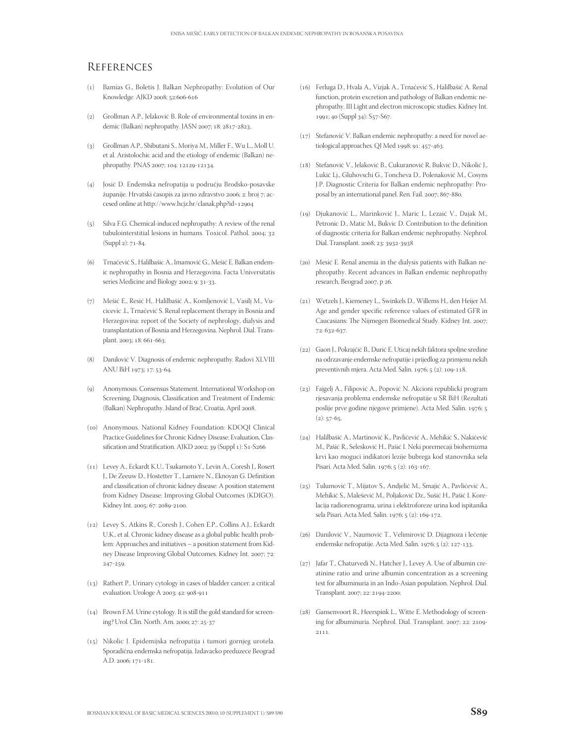# **REFERENCES**

- () Bamias G., Boletis J. Balkan Nephropathy: Evolution of Our Knowledge. AJKD 2008; 52:606-616
- (2) Grollman A.P., Jelaković B. Role of environmental toxins in endemic (Balkan) nephropathy. JASN 2007; 18: 2817-2823.
- () Grollman A.P., Shibutani S., Moriya M., Miller F., Wu L., Moll U. et al. Aristolochic acid and the etiology of endemic (Balkan) nephropathy. PNAS 2007; 104: 12129-12134.
- () Josić D. Endemska nefropatija u području Brodsko-posavske županije. Hrvatski časopis za javno zdravstvo 2006; 2: broj 7; accesed online at http://www.hcjz.hr/clanak.php?id=
- (5) Silva F.G. Chemical-induced nephropathy: A review of the renal tubulointerstitial lesions in humans. Toxicol. Pathol. 2004; 32 (Suppl 2): 71-84.
- () Trnačević S., Halilbašic A., Imamović G., Mešić E. Balkan endemic nephropathy in Bosnia and Herzegovina. Facta Universitatis series Medicine and Biology 2002; 9: 31-33.
- () Mešić E., Resić H,. Halilbašić A., Komljenović I., Vasilj M., Vucicevic .L, Trnačević S. Renal replacement therapy in Bosnia and Herzegovina: report of the Society of nephrology, dialysis and transplantation of Bosnia and Herzegovina. Nephrol. Dial. Transplant. 2003; 18: 661-663.
- (8) Danilović V. Diagnosis of endemic nephropathy. Radovi XLVIII ANU BiH 1973; 17: 53-64.
- () Anonymous. Consensus Statement. International Workshop on Screening, Diagnosis, Classification and Treatment of Endemic (Balkan) Nephropathy. Island of Brač, Croatia, April 2008.
- (10) Anonymous. National Kidney Foundation: KDOQI Clinical Practice Guidelines for Chronic Kidney Disease: Evaluation, Classification and Stratification. AJKD 2002; 39 (Suppl 1): S1-S266
- () Levey A., Eckardt K.U., Tsukamoto Y., Levin A., Coresh J., Rosert J., De Zeeuw D., Hostetter T., Lamiere N., Eknoyan G. Definition and classification of chronic kidney disease: A position statement from Kidney Disease: Improving Global Outcomes (KDIGO). Kidney Int. 2005; 67: 2089-2100.
- () Levey S., Atkins R., Coresh J., Cohen E.P., Collins A.J., Eckardt U.K., et al. Chronic kidney disease as a global public health problem: Approaches and initiatives – a position statement from Kidney Disease Improving Global Outcomes. Kidney Int. 2007; 72: 247-259.
- (13) Rathert P.. Urinary cytology in cases of bladder cancer: a critical evaluation. Urologe A 2003; 42: 908-911
- (14) Brown F.M. Urine cytology. It is still the gold standard for screening? Urol. Clin. North. Am. 2000; 27: 25-37
- () Nikolic J. Epidemijska nefropatija i tumori gornjeg urotela. Sporadična endemska nefropatija. Izdavacko preduzece Beograd A.D. 2006; 171-181.
- () Ferluga D., Hvala A., Vizjak A., Trnačević S., Halilbašić A. Renal function, protein excretion and pathology of Balkan endemic nephropathy. III Light and electron microscopic studies. Kidney Int. 1991; 40 (Suppl 34): S57-S67.
- (17) Stefanović V. Balkan endemic nephropathy: a need for novel aetiological approaches. QJ Med 1998; 91: 457-463.
- () Stefanović V., Jelaković B., Cukuranović R, Bukvić D., Nikolić J., Lukić Lj., Gluhovschi G., Toncheva D., Polenaković M., Cosyns J.P. Diagnostic Criteria for Balkan endemic nephropathy: Proposal by an international panel. Ren. Fail. 2007; 867-880.
- () Djukanović L., Marinković J., Maric I., Lezaić V., Dajak M., Petronic D., Matic M., Bukvic D. Contribution to the definition of diagnostic criteria for Balkan endemic nephropathy. Nephrol. Dial. Transplant. 2008; 23: 3932-3938
- (20) Mesić E. Renal anemia in the dialysis patients with Balkan nephropathy. Recent advances in Balkan endemic nephropathy research, Beograd 2007, p 26.
- () Wetzels J., Kiemeney L., Swinkels D., Willems H., den Heijer M. Age and gender specific reference values of estimated GFR in Caucasians: The Nijmegen Biomedical Study. Kidney Int. 2007; 72: 632-637.
- (22) Gaon J., Pokrajčić B., Durić E. Uticaj nekih faktora spoljne sredine na odrzavanje endemske nefropatije i prijedlog za primjenu nekih preventivnih mjera. Acta Med. Salin. 1976; 5 (2): 109-118.
- (23) Fajgelj A., Filipović A., Popović N. Akcioni republicki program rjesavanja problema endemske nefropatije u SR BiH (Rezultati poslije prve godine njegove primjene). Acta Med. Salin. ;  $(2): 57-65.$
- () Halilbašić A., Martinović K., Pavlićević A., Mehikić S., Nakićević M., Pašić R., Selesković H., Pašić I. Neki poremecaji biohemizma krvi kao moguci indikatori lezije bubrega kod stanovnika sela Pisari. Acta Med. Salin. 1976; 5 (2): 163-167.
- () Tulumović T., Mijatov S., Andjelić M., Smajić A., Pavlićević A., Mehikić S., Malešević M., Poljaković Dz., Sušić H., Pašić I. Korelacija radiorenograma, urina i elektroforeze urina kod ispitanika sela Pisari. Acta Med. Salin. 1976; 5 (2): 169-172.
- (26) Danilović V., Naumović T., Velimirović D. Dijagnoza i lečenje endemske nefropatije. Acta Med. Salin. 1976; 5 (2): 127-133.
- (27) Jafar T., Chaturvedi N., Hatcher J., Levey A. Use of albumin creatinine ratio and urine albumin concentration as a screening test for albuminuria in an Indo-Asian population. Nephrol. Dial. Transplant. 2007; 22: 2194-2200;
- (28) Gansenvoort R., Heerspink L., Witte E. Methodology of screening for albuminuria. Nephrol. Dial. Transplant. 2007; 22: 2109-2111.